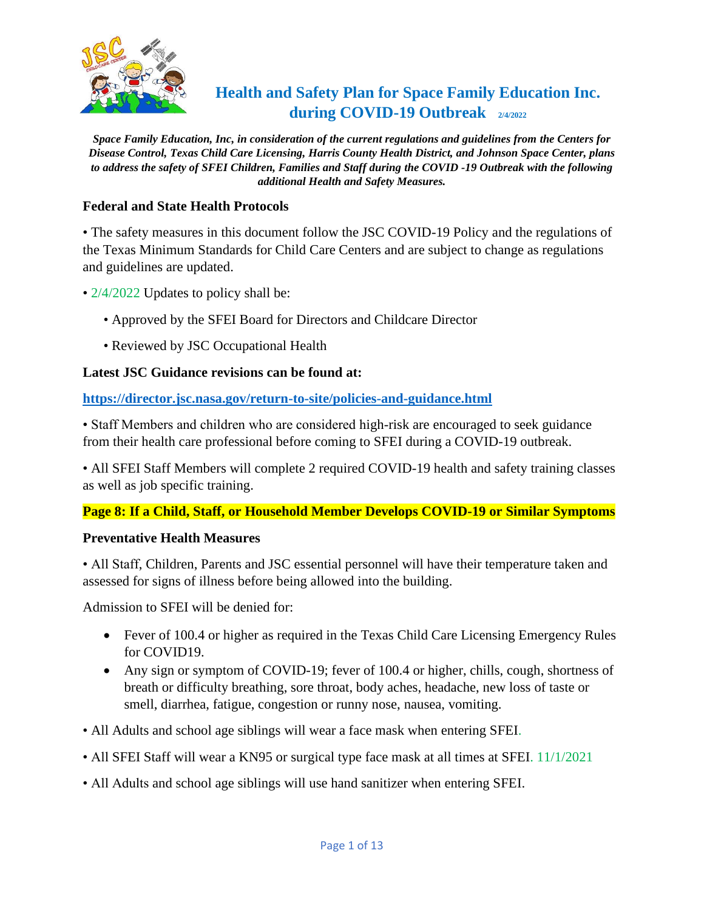

# **Health and Safety Plan for Space Family Education Inc. during COVID-19 Outbreak 2/4/2022**

*Space Family Education, Inc, in consideration of the current regulations and guidelines from the Centers for Disease Control, Texas Child Care Licensing, Harris County Health District, and Johnson Space Center, plans to address the safety of SFEI Children, Families and Staff during the COVID -19 Outbreak with the following additional Health and Safety Measures.*

## **Federal and State Health Protocols**

• The safety measures in this document follow the JSC COVID-19 Policy and the regulations of the Texas Minimum Standards for Child Care Centers and are subject to change as regulations and guidelines are updated.

- 2/4/2022 Updates to policy shall be:
	- Approved by the SFEI Board for Directors and Childcare Director
	- Reviewed by JSC Occupational Health

## **Latest JSC Guidance revisions can be found at:**

**<https://director.jsc.nasa.gov/return-to-site/policies-and-guidance.html>**

• Staff Members and children who are considered high-risk are encouraged to seek guidance from their health care professional before coming to SFEI during a COVID-19 outbreak.

• All SFEI Staff Members will complete 2 required COVID-19 health and safety training classes as well as job specific training.

## **Page 8: If a Child, Staff, or Household Member Develops COVID-19 or Similar Symptoms**

## **Preventative Health Measures**

• All Staff, Children, Parents and JSC essential personnel will have their temperature taken and assessed for signs of illness before being allowed into the building.

Admission to SFEI will be denied for:

- Fever of 100.4 or higher as required in the Texas Child Care Licensing Emergency Rules for COVID19.
- Any sign or symptom of COVID-19; fever of 100.4 or higher, chills, cough, shortness of breath or difficulty breathing, sore throat, body aches, headache, new loss of taste or smell, diarrhea, fatigue, congestion or runny nose, nausea, vomiting.
- All Adults and school age siblings will wear a face mask when entering SFEI.
- All SFEI Staff will wear a KN95 or surgical type face mask at all times at SFEI. 11/1/2021
- All Adults and school age siblings will use hand sanitizer when entering SFEI.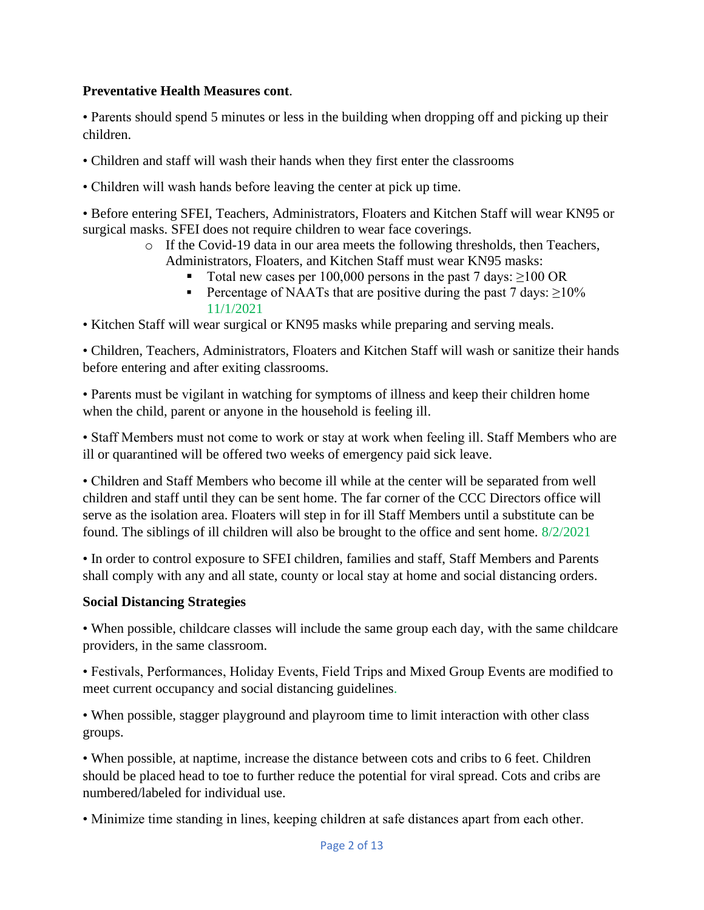## **Preventative Health Measures cont**.

• Parents should spend 5 minutes or less in the building when dropping off and picking up their children.

- Children and staff will wash their hands when they first enter the classrooms
- Children will wash hands before leaving the center at pick up time.

• Before entering SFEI, Teachers, Administrators, Floaters and Kitchen Staff will wear KN95 or surgical masks. SFEI does not require children to wear face coverings.

- o If the Covid-19 data in our area meets the following thresholds, then Teachers, Administrators, Floaters, and Kitchen Staff must wear KN95 masks:
	- Total new cases per 100,000 persons in the past 7 days:  $\geq$ 100 OR
	- **•** Percentage of NAATs that are positive during the past 7 days:  $\geq 10\%$ 11/1/2021

• Kitchen Staff will wear surgical or KN95 masks while preparing and serving meals.

• Children, Teachers, Administrators, Floaters and Kitchen Staff will wash or sanitize their hands before entering and after exiting classrooms.

• Parents must be vigilant in watching for symptoms of illness and keep their children home when the child, parent or anyone in the household is feeling ill.

• Staff Members must not come to work or stay at work when feeling ill. Staff Members who are ill or quarantined will be offered two weeks of emergency paid sick leave.

• Children and Staff Members who become ill while at the center will be separated from well children and staff until they can be sent home. The far corner of the CCC Directors office will serve as the isolation area. Floaters will step in for ill Staff Members until a substitute can be found. The siblings of ill children will also be brought to the office and sent home. 8/2/2021

• In order to control exposure to SFEI children, families and staff, Staff Members and Parents shall comply with any and all state, county or local stay at home and social distancing orders.

## **Social Distancing Strategies**

• When possible, childcare classes will include the same group each day, with the same childcare providers, in the same classroom.

• Festivals, Performances, Holiday Events, Field Trips and Mixed Group Events are modified to meet current occupancy and social distancing guidelines.

• When possible, stagger playground and playroom time to limit interaction with other class groups.

• When possible, at naptime, increase the distance between cots and cribs to 6 feet. Children should be placed head to toe to further reduce the potential for viral spread. Cots and cribs are numbered/labeled for individual use.

• Minimize time standing in lines, keeping children at safe distances apart from each other.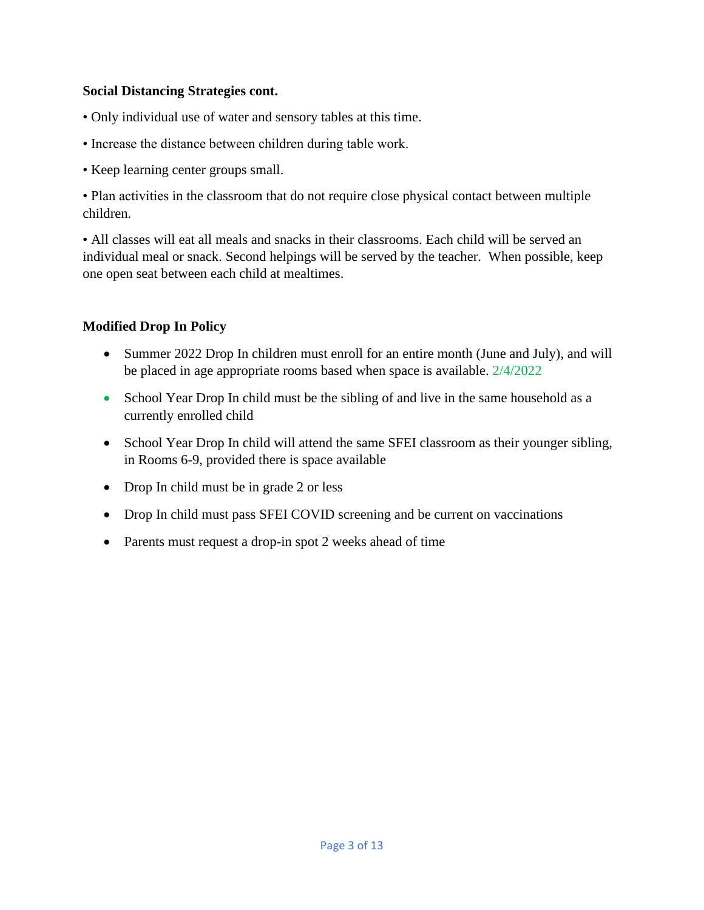## **Social Distancing Strategies cont.**

- Only individual use of water and sensory tables at this time.
- Increase the distance between children during table work.
- Keep learning center groups small.

• Plan activities in the classroom that do not require close physical contact between multiple children.

• All classes will eat all meals and snacks in their classrooms. Each child will be served an individual meal or snack. Second helpings will be served by the teacher. When possible, keep one open seat between each child at mealtimes.

# **Modified Drop In Policy**

- Summer 2022 Drop In children must enroll for an entire month (June and July), and will be placed in age appropriate rooms based when space is available. 2/4/2022
- School Year Drop In child must be the sibling of and live in the same household as a currently enrolled child
- School Year Drop In child will attend the same SFEI classroom as their younger sibling, in Rooms 6-9, provided there is space available
- Drop In child must be in grade 2 or less
- Drop In child must pass SFEI COVID screening and be current on vaccinations
- Parents must request a drop-in spot 2 weeks ahead of time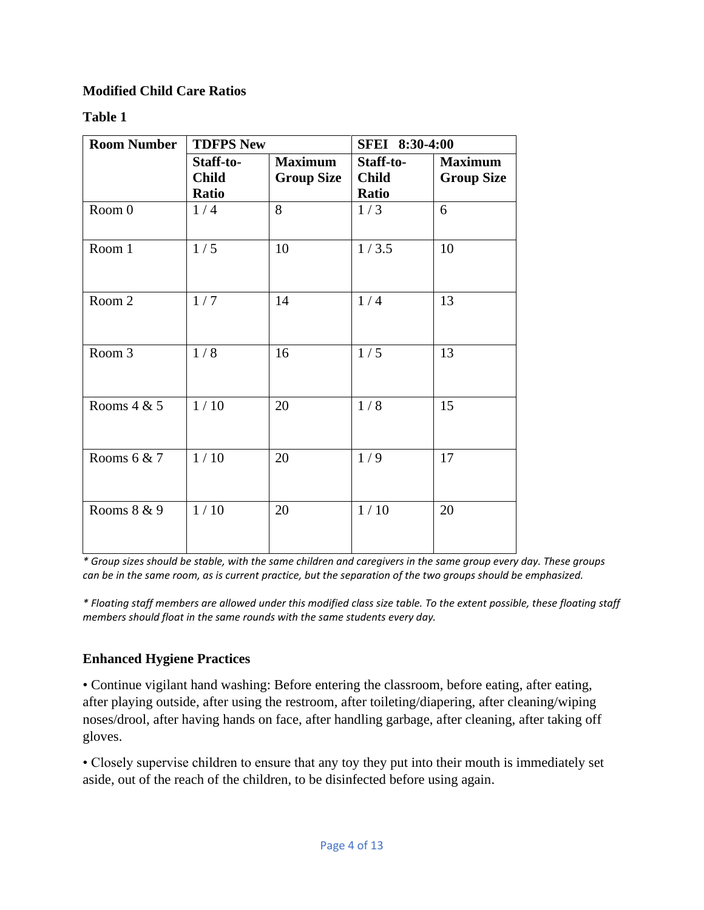# **Modified Child Care Ratios**

# **Table 1**

| <b>Room Number</b> | <b>TDFPS New</b>                   |                                     | SFEI 8:30-4:00                     |                                     |
|--------------------|------------------------------------|-------------------------------------|------------------------------------|-------------------------------------|
|                    | Staff-to-<br><b>Child</b><br>Ratio | <b>Maximum</b><br><b>Group Size</b> | Staff-to-<br><b>Child</b><br>Ratio | <b>Maximum</b><br><b>Group Size</b> |
| Room 0             | 1/4                                | 8                                   | 1/3                                | 6                                   |
| Room 1             | 1/5                                | 10                                  | 1/3.5                              | 10                                  |
| Room 2             | 1/7                                | 14                                  | 1/4                                | 13                                  |
| Room 3             | 1/8                                | 16                                  | 1/5                                | 13                                  |
| Rooms $4 & 5$      | 1/10                               | 20                                  | 1/8                                | 15                                  |
| Rooms $6 & 7$      | 1/10                               | 20                                  | 1/9                                | 17                                  |
| Rooms 8 & 9        | 1/10                               | 20                                  | 1/10                               | 20                                  |

*\* Group sizes should be stable, with the same children and caregivers in the same group every day. These groups can be in the same room, as is current practice, but the separation of the two groups should be emphasized.* 

*\* Floating staff members are allowed under this modified class size table. To the extent possible, these floating staff members should float in the same rounds with the same students every day.* 

# **Enhanced Hygiene Practices**

• Continue vigilant hand washing: Before entering the classroom, before eating, after eating, after playing outside, after using the restroom, after toileting/diapering, after cleaning/wiping noses/drool, after having hands on face, after handling garbage, after cleaning, after taking off gloves.

• Closely supervise children to ensure that any toy they put into their mouth is immediately set aside, out of the reach of the children, to be disinfected before using again.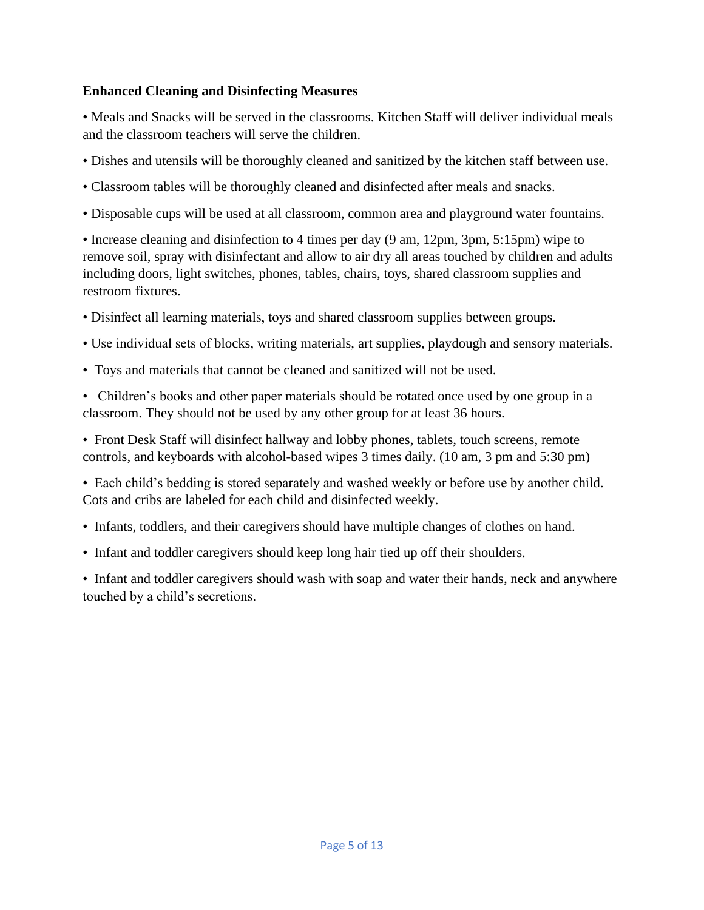## **Enhanced Cleaning and Disinfecting Measures**

• Meals and Snacks will be served in the classrooms. Kitchen Staff will deliver individual meals and the classroom teachers will serve the children.

- Dishes and utensils will be thoroughly cleaned and sanitized by the kitchen staff between use.
- Classroom tables will be thoroughly cleaned and disinfected after meals and snacks.
- Disposable cups will be used at all classroom, common area and playground water fountains.

• Increase cleaning and disinfection to 4 times per day (9 am, 12pm, 3pm, 5:15pm) wipe to remove soil, spray with disinfectant and allow to air dry all areas touched by children and adults including doors, light switches, phones, tables, chairs, toys, shared classroom supplies and restroom fixtures.

- Disinfect all learning materials, toys and shared classroom supplies between groups.
- Use individual sets of blocks, writing materials, art supplies, playdough and sensory materials.
- Toys and materials that cannot be cleaned and sanitized will not be used.

• Children's books and other paper materials should be rotated once used by one group in a classroom. They should not be used by any other group for at least 36 hours.

• Front Desk Staff will disinfect hallway and lobby phones, tablets, touch screens, remote controls, and keyboards with alcohol-based wipes 3 times daily. (10 am, 3 pm and 5:30 pm)

• Each child's bedding is stored separately and washed weekly or before use by another child. Cots and cribs are labeled for each child and disinfected weekly.

- Infants, toddlers, and their caregivers should have multiple changes of clothes on hand.
- Infant and toddler caregivers should keep long hair tied up off their shoulders.

• Infant and toddler caregivers should wash with soap and water their hands, neck and anywhere touched by a child's secretions.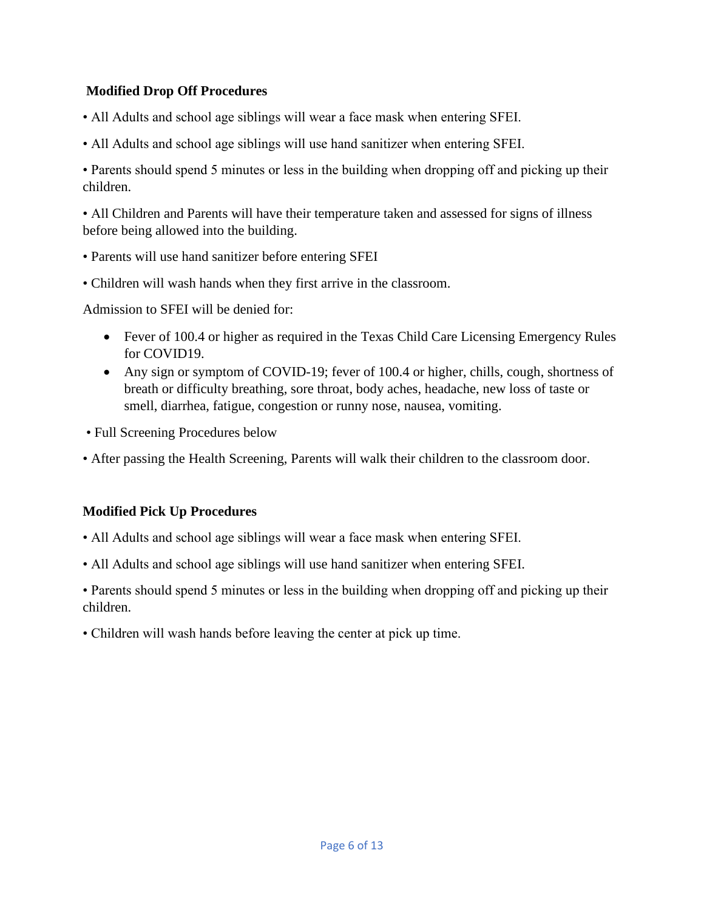# **Modified Drop Off Procedures**

- All Adults and school age siblings will wear a face mask when entering SFEI.
- All Adults and school age siblings will use hand sanitizer when entering SFEI.

• Parents should spend 5 minutes or less in the building when dropping off and picking up their children.

• All Children and Parents will have their temperature taken and assessed for signs of illness before being allowed into the building.

- Parents will use hand sanitizer before entering SFEI
- Children will wash hands when they first arrive in the classroom.

Admission to SFEI will be denied for:

- Fever of 100.4 or higher as required in the Texas Child Care Licensing Emergency Rules for COVID19.
- Any sign or symptom of COVID-19; fever of 100.4 or higher, chills, cough, shortness of breath or difficulty breathing, sore throat, body aches, headache, new loss of taste or smell, diarrhea, fatigue, congestion or runny nose, nausea, vomiting.
- Full Screening Procedures below
- After passing the Health Screening, Parents will walk their children to the classroom door.

# **Modified Pick Up Procedures**

- All Adults and school age siblings will wear a face mask when entering SFEI.
- All Adults and school age siblings will use hand sanitizer when entering SFEI.

• Parents should spend 5 minutes or less in the building when dropping off and picking up their children.

• Children will wash hands before leaving the center at pick up time.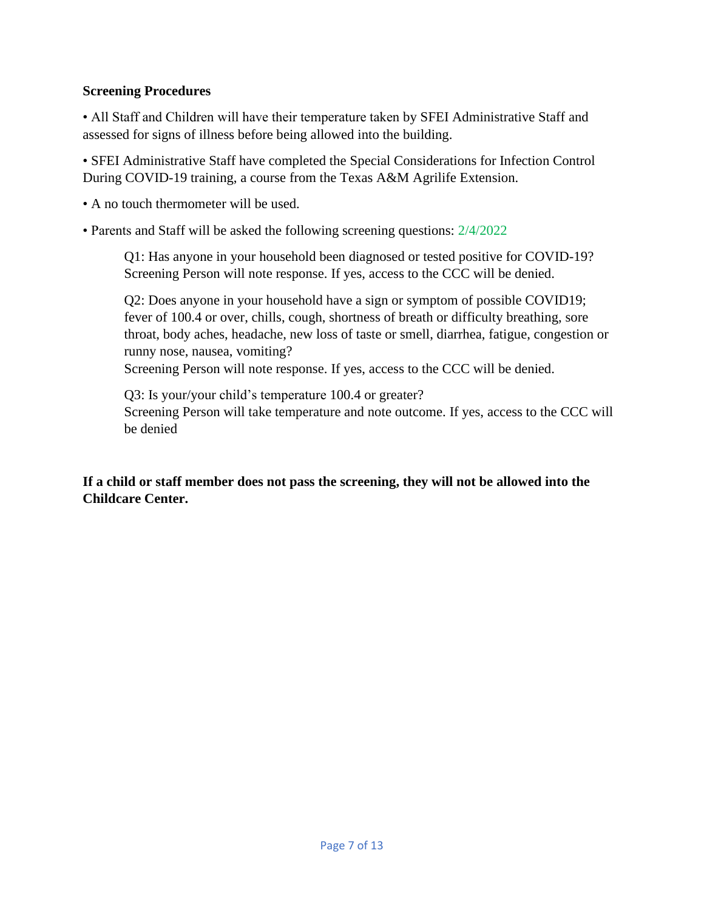## **Screening Procedures**

• All Staff and Children will have their temperature taken by SFEI Administrative Staff and assessed for signs of illness before being allowed into the building.

• SFEI Administrative Staff have completed the Special Considerations for Infection Control During COVID-19 training, a course from the Texas A&M Agrilife Extension.

• A no touch thermometer will be used.

• Parents and Staff will be asked the following screening questions: 2/4/2022

Q1: Has anyone in your household been diagnosed or tested positive for COVID-19? Screening Person will note response. If yes, access to the CCC will be denied.

Q2: Does anyone in your household have a sign or symptom of possible COVID19; fever of 100.4 or over, chills, cough, shortness of breath or difficulty breathing, sore throat, body aches, headache, new loss of taste or smell, diarrhea, fatigue, congestion or runny nose, nausea, vomiting?

Screening Person will note response. If yes, access to the CCC will be denied.

Q3: Is your/your child's temperature 100.4 or greater? Screening Person will take temperature and note outcome. If yes, access to the CCC will be denied

**If a child or staff member does not pass the screening, they will not be allowed into the Childcare Center.**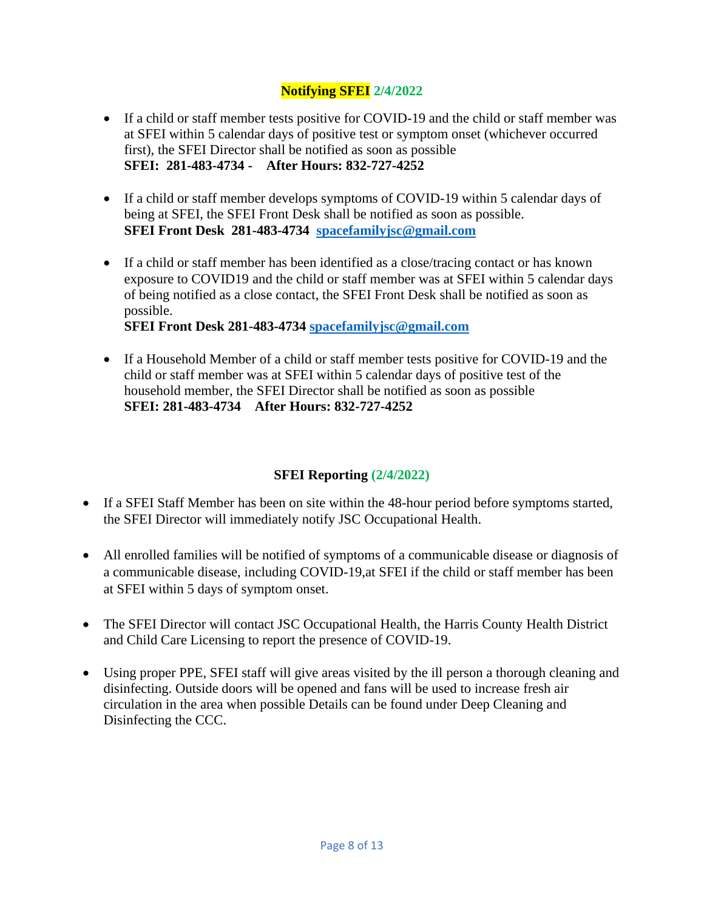# **Notifying SFEI 2/4/2022**

- If a child or staff member tests positive for COVID-19 and the child or staff member was at SFEI within 5 calendar days of positive test or symptom onset (whichever occurred first), the SFEI Director shall be notified as soon as possible **SFEI: 281-483-4734 - After Hours: 832-727-4252**
- If a child or staff member develops symptoms of COVID-19 within 5 calendar days of being at SFEI, the SFEI Front Desk shall be notified as soon as possible. **SFEI Front Desk 281-483-4734 [spacefamilyjsc@gmail.com](mailto:spacefamilyjsc@gmail.com)**
- If a child or staff member has been identified as a close/tracing contact or has known exposure to COVID19 and the child or staff member was at SFEI within 5 calendar days of being notified as a close contact, the SFEI Front Desk shall be notified as soon as possible.

**SFEI Front Desk 281-483-4734 [spacefamilyjsc@gmail.com](mailto:spacefamilyjsc@gmail.com)**

• If a Household Member of a child or staff member tests positive for COVID-19 and the child or staff member was at SFEI within 5 calendar days of positive test of the household member, the SFEI Director shall be notified as soon as possible **SFEI: 281-483-4734 After Hours: 832-727-4252**

# **SFEI Reporting (2/4/2022)**

- If a SFEI Staff Member has been on site within the 48-hour period before symptoms started, the SFEI Director will immediately notify JSC Occupational Health.
- All enrolled families will be notified of symptoms of a communicable disease or diagnosis of a communicable disease, including COVID-19,at SFEI if the child or staff member has been at SFEI within 5 days of symptom onset.
- The SFEI Director will contact JSC Occupational Health, the Harris County Health District and Child Care Licensing to report the presence of COVID-19.
- Using proper PPE, SFEI staff will give areas visited by the ill person a thorough cleaning and disinfecting. Outside doors will be opened and fans will be used to increase fresh air circulation in the area when possible Details can be found under Deep Cleaning and Disinfecting the CCC.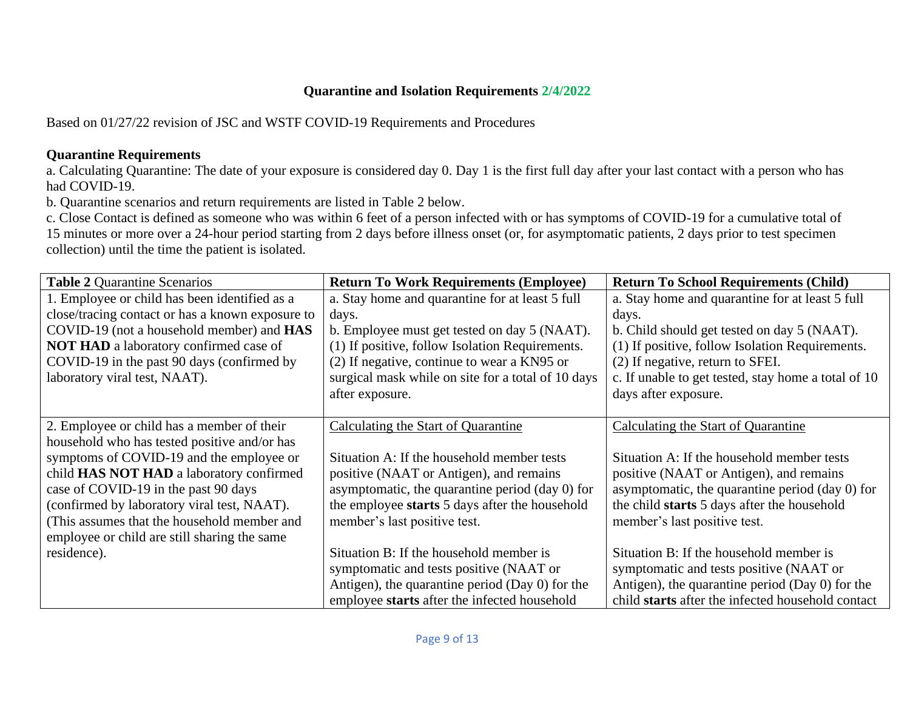# **Quarantine and Isolation Requirements 2/4/2022**

Based on 01/27/22 revision of JSC and WSTF COVID-19 Requirements and Procedures

# **Quarantine Requirements**

a. Calculating Quarantine: The date of your exposure is considered day 0. Day 1 is the first full day after your last contact with a person who has had COVID-19.

b. Quarantine scenarios and return requirements are listed in Table 2 below.

c. Close Contact is defined as someone who was within 6 feet of a person infected with or has symptoms of COVID-19 for a cumulative total of 15 minutes or more over a 24-hour period starting from 2 days before illness onset (or, for asymptomatic patients, 2 days prior to test specimen collection) until the time the patient is isolated.

| <b>Table 2 Quarantine Scenarios</b>              | <b>Return To Work Requirements (Employee)</b>      | <b>Return To School Requirements (Child)</b>        |  |
|--------------------------------------------------|----------------------------------------------------|-----------------------------------------------------|--|
| 1. Employee or child has been identified as a    | a. Stay home and quarantine for at least 5 full    | a. Stay home and quarantine for at least 5 full     |  |
| close/tracing contact or has a known exposure to | days.                                              | days.                                               |  |
| COVID-19 (not a household member) and HAS        | b. Employee must get tested on day 5 (NAAT).       | b. Child should get tested on day 5 (NAAT).         |  |
| <b>NOT HAD</b> a laboratory confirmed case of    | (1) If positive, follow Isolation Requirements.    | (1) If positive, follow Isolation Requirements.     |  |
| COVID-19 in the past 90 days (confirmed by       | (2) If negative, continue to wear a KN95 or        | (2) If negative, return to SFEI.                    |  |
| laboratory viral test, NAAT).                    | surgical mask while on site for a total of 10 days | c. If unable to get tested, stay home a total of 10 |  |
|                                                  | after exposure.                                    | days after exposure.                                |  |
|                                                  |                                                    |                                                     |  |
| 2. Employee or child has a member of their       | Calculating the Start of Quarantine                | Calculating the Start of Quarantine                 |  |
| household who has tested positive and/or has     |                                                    |                                                     |  |
| symptoms of COVID-19 and the employee or         | Situation A: If the household member tests         | Situation A: If the household member tests          |  |
| child HAS NOT HAD a laboratory confirmed         | positive (NAAT or Antigen), and remains            | positive (NAAT or Antigen), and remains             |  |
| case of COVID-19 in the past 90 days             | asymptomatic, the quarantine period (day 0) for    | asymptomatic, the quarantine period (day 0) for     |  |
| (confirmed by laboratory viral test, NAAT).      | the employee starts 5 days after the household     | the child starts 5 days after the household         |  |
| (This assumes that the household member and      | member's last positive test.                       | member's last positive test.                        |  |
| employee or child are still sharing the same     |                                                    |                                                     |  |
| residence).                                      | Situation B: If the household member is            | Situation B: If the household member is             |  |
|                                                  | symptomatic and tests positive (NAAT or            | symptomatic and tests positive (NAAT or             |  |
|                                                  | Antigen), the quarantine period (Day $0$ ) for the | Antigen), the quarantine period (Day $0$ ) for the  |  |
|                                                  | employee starts after the infected household       | child starts after the infected household contact   |  |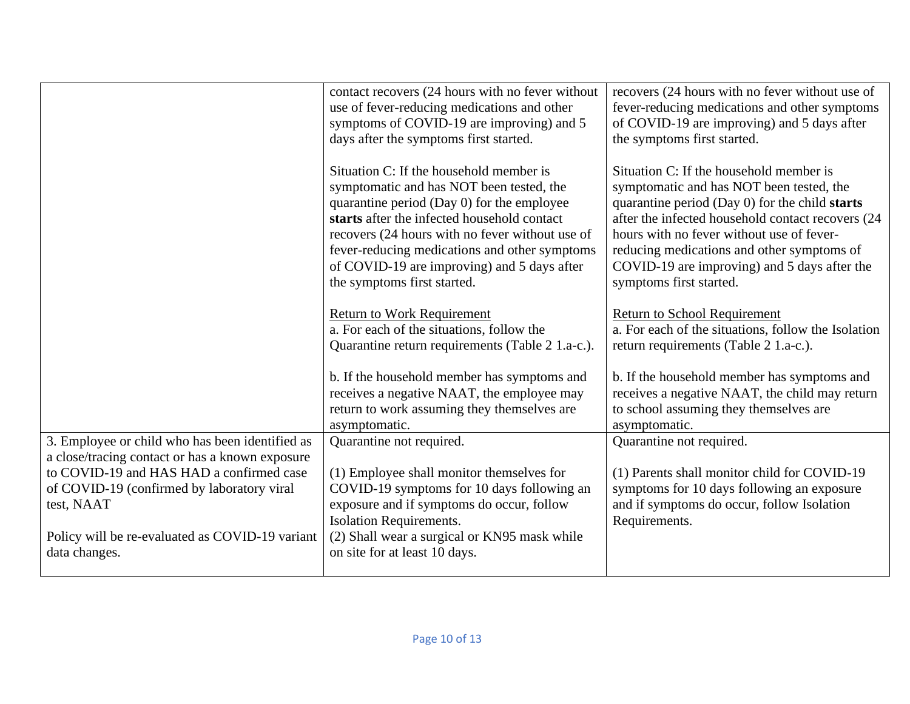|                                                                                        | contact recovers (24 hours with no fever without<br>use of fever-reducing medications and other<br>symptoms of COVID-19 are improving) and 5<br>days after the symptoms first started.                                                                                                                                                                             | recovers (24 hours with no fever without use of<br>fever-reducing medications and other symptoms<br>of COVID-19 are improving) and 5 days after<br>the symptoms first started.                                                                                                                                                                                   |
|----------------------------------------------------------------------------------------|--------------------------------------------------------------------------------------------------------------------------------------------------------------------------------------------------------------------------------------------------------------------------------------------------------------------------------------------------------------------|------------------------------------------------------------------------------------------------------------------------------------------------------------------------------------------------------------------------------------------------------------------------------------------------------------------------------------------------------------------|
|                                                                                        | Situation C: If the household member is<br>symptomatic and has NOT been tested, the<br>quarantine period (Day 0) for the employee<br>starts after the infected household contact<br>recovers (24 hours with no fever without use of<br>fever-reducing medications and other symptoms<br>of COVID-19 are improving) and 5 days after<br>the symptoms first started. | Situation C: If the household member is<br>symptomatic and has NOT been tested, the<br>quarantine period (Day 0) for the child starts<br>after the infected household contact recovers (24<br>hours with no fever without use of fever-<br>reducing medications and other symptoms of<br>COVID-19 are improving) and 5 days after the<br>symptoms first started. |
|                                                                                        | <b>Return to Work Requirement</b><br>a. For each of the situations, follow the<br>Quarantine return requirements (Table 2 1.a-c.).                                                                                                                                                                                                                                 | <b>Return to School Requirement</b><br>a. For each of the situations, follow the Isolation<br>return requirements (Table 2 1.a-c.).                                                                                                                                                                                                                              |
|                                                                                        | b. If the household member has symptoms and<br>receives a negative NAAT, the employee may<br>return to work assuming they themselves are<br>asymptomatic.                                                                                                                                                                                                          | b. If the household member has symptoms and<br>receives a negative NAAT, the child may return<br>to school assuming they themselves are<br>asymptomatic.                                                                                                                                                                                                         |
| 3. Employee or child who has been identified as                                        | Quarantine not required.                                                                                                                                                                                                                                                                                                                                           | Quarantine not required.                                                                                                                                                                                                                                                                                                                                         |
| a close/tracing contact or has a known exposure                                        |                                                                                                                                                                                                                                                                                                                                                                    |                                                                                                                                                                                                                                                                                                                                                                  |
| to COVID-19 and HAS HAD a confirmed case<br>of COVID-19 (confirmed by laboratory viral | (1) Employee shall monitor themselves for<br>COVID-19 symptoms for 10 days following an                                                                                                                                                                                                                                                                            | (1) Parents shall monitor child for COVID-19<br>symptoms for 10 days following an exposure                                                                                                                                                                                                                                                                       |
| test, NAAT                                                                             | exposure and if symptoms do occur, follow                                                                                                                                                                                                                                                                                                                          | and if symptoms do occur, follow Isolation                                                                                                                                                                                                                                                                                                                       |
| Policy will be re-evaluated as COVID-19 variant                                        | <b>Isolation Requirements.</b>                                                                                                                                                                                                                                                                                                                                     | Requirements.                                                                                                                                                                                                                                                                                                                                                    |
| data changes.                                                                          | (2) Shall wear a surgical or KN95 mask while<br>on site for at least 10 days.                                                                                                                                                                                                                                                                                      |                                                                                                                                                                                                                                                                                                                                                                  |
|                                                                                        |                                                                                                                                                                                                                                                                                                                                                                    |                                                                                                                                                                                                                                                                                                                                                                  |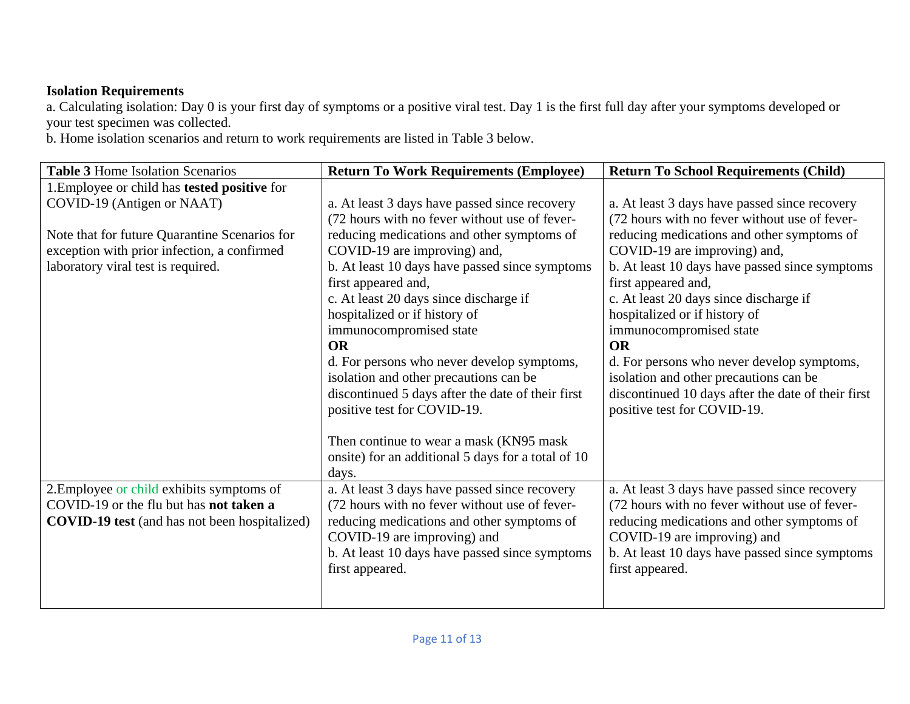# **Isolation Requirements**

a. Calculating isolation: Day 0 is your first day of symptoms or a positive viral test. Day 1 is the first full day after your symptoms developed or your test specimen was collected.

b. Home isolation scenarios and return to work requirements are listed in Table 3 below.

| <b>Table 3 Home Isolation Scenarios</b>              | <b>Return To Work Requirements (Employee)</b>      | <b>Return To School Requirements (Child)</b>       |  |
|------------------------------------------------------|----------------------------------------------------|----------------------------------------------------|--|
| 1. Employee or child has <b>tested positive</b> for  |                                                    |                                                    |  |
| COVID-19 (Antigen or NAAT)                           | a. At least 3 days have passed since recovery      | a. At least 3 days have passed since recovery      |  |
|                                                      | (72 hours with no fever without use of fever-      | (72 hours with no fever without use of fever-      |  |
| Note that for future Quarantine Scenarios for        | reducing medications and other symptoms of         | reducing medications and other symptoms of         |  |
| exception with prior infection, a confirmed          | COVID-19 are improving) and,                       | COVID-19 are improving) and,                       |  |
| laboratory viral test is required.                   | b. At least 10 days have passed since symptoms     | b. At least 10 days have passed since symptoms     |  |
|                                                      | first appeared and,                                | first appeared and,                                |  |
|                                                      | c. At least 20 days since discharge if             | c. At least 20 days since discharge if             |  |
|                                                      | hospitalized or if history of                      | hospitalized or if history of                      |  |
|                                                      | immunocompromised state                            | immunocompromised state                            |  |
|                                                      | <b>OR</b>                                          | <b>OR</b>                                          |  |
|                                                      | d. For persons who never develop symptoms,         | d. For persons who never develop symptoms,         |  |
|                                                      | isolation and other precautions can be             | isolation and other precautions can be             |  |
|                                                      | discontinued 5 days after the date of their first  | discontinued 10 days after the date of their first |  |
|                                                      | positive test for COVID-19.                        | positive test for COVID-19.                        |  |
|                                                      |                                                    |                                                    |  |
|                                                      | Then continue to wear a mask (KN95 mask)           |                                                    |  |
|                                                      | onsite) for an additional 5 days for a total of 10 |                                                    |  |
|                                                      | days.                                              |                                                    |  |
| 2. Employee or child exhibits symptoms of            | a. At least 3 days have passed since recovery      | a. At least 3 days have passed since recovery      |  |
| COVID-19 or the flu but has not taken a              | (72 hours with no fever without use of fever-      | (72 hours with no fever without use of fever-      |  |
| <b>COVID-19 test</b> (and has not been hospitalized) | reducing medications and other symptoms of         | reducing medications and other symptoms of         |  |
|                                                      | COVID-19 are improving) and                        | COVID-19 are improving) and                        |  |
|                                                      | b. At least 10 days have passed since symptoms     | b. At least 10 days have passed since symptoms     |  |
|                                                      | first appeared.                                    | first appeared.                                    |  |
|                                                      |                                                    |                                                    |  |
|                                                      |                                                    |                                                    |  |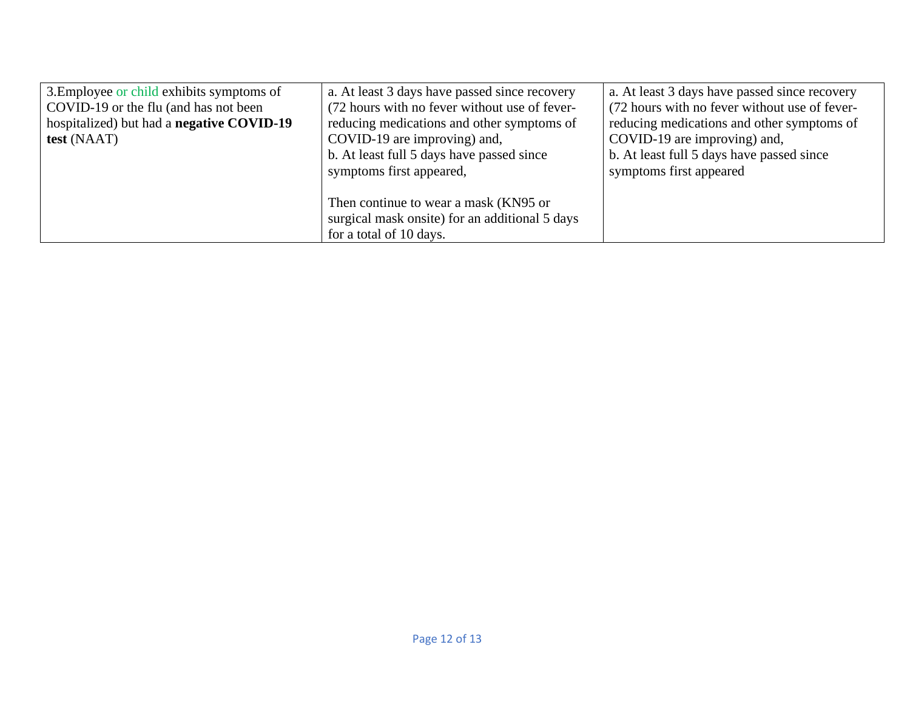| 3. Employee or child exhibits symptoms of        | a. At least 3 days have passed since recovery  | a. At least 3 days have passed since recovery |  |
|--------------------------------------------------|------------------------------------------------|-----------------------------------------------|--|
| COVID-19 or the flu (and has not been            | (72 hours with no fever without use of fever-  | (72 hours with no fever without use of fever- |  |
| hospitalized) but had a <b>negative COVID-19</b> | reducing medications and other symptoms of     | reducing medications and other symptoms of    |  |
| test (NAAT)                                      | COVID-19 are improving) and,                   | COVID-19 are improving) and,                  |  |
|                                                  | b. At least full 5 days have passed since      | b. At least full 5 days have passed since     |  |
|                                                  | symptoms first appeared,                       | symptoms first appeared                       |  |
|                                                  |                                                |                                               |  |
|                                                  | Then continue to wear a mask (KN95 or          |                                               |  |
|                                                  | surgical mask onsite) for an additional 5 days |                                               |  |
|                                                  | for a total of 10 days.                        |                                               |  |